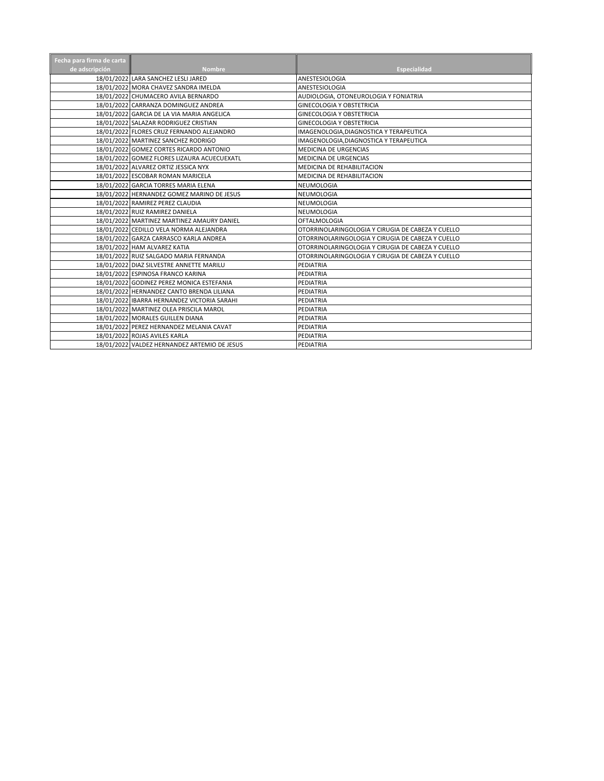| Fecha para firma de carta |                                              |                                                   |
|---------------------------|----------------------------------------------|---------------------------------------------------|
| de adscripción            | <b>Nombre</b>                                | <b>Especialidad</b>                               |
|                           | 18/01/2022 LARA SANCHEZ LESLI JARED          | ANESTESIOLOGIA                                    |
|                           | 18/01/2022 MORA CHAVEZ SANDRA IMELDA         | ANESTESIOLOGIA                                    |
|                           | 18/01/2022 CHUMACERO AVILA BERNARDO          | AUDIOLOGIA, OTONEUROLOGIA Y FONIATRIA             |
|                           | 18/01/2022 CARRANZA DOMINGUEZ ANDREA         | <b>GINECOLOGIA Y OBSTETRICIA</b>                  |
|                           | 18/01/2022 GARCIA DE LA VIA MARIA ANGELICA   | <b>GINECOLOGIA Y OBSTETRICIA</b>                  |
|                           | 18/01/2022 SALAZAR RODRIGUEZ CRISTIAN        | <b>GINECOLOGIA Y OBSTETRICIA</b>                  |
|                           | 18/01/2022 FLORES CRUZ FERNANDO ALEJANDRO    | IMAGENOLOGIA, DIAGNOSTICA Y TERAPEUTICA           |
|                           | 18/01/2022 MARTINEZ SANCHEZ RODRIGO          | IMAGENOLOGIA, DIAGNOSTICA Y TERAPEUTICA           |
|                           | 18/01/2022 GOMEZ CORTES RICARDO ANTONIO      | <b>MEDICINA DE URGENCIAS</b>                      |
|                           | 18/01/2022 GOMEZ FLORES LIZAURA ACUECUEXATL  | MEDICINA DE URGENCIAS                             |
|                           | 18/01/2022 ALVAREZ ORTIZ JESSICA NYX         | MEDICINA DE REHABILITACION                        |
|                           | 18/01/2022 ESCOBAR ROMAN MARICELA            | MEDICINA DE REHABILITACION                        |
|                           | 18/01/2022 GARCIA TORRES MARIA ELENA         | NEUMOLOGIA                                        |
|                           | 18/01/2022 HERNANDEZ GOMEZ MARINO DE JESUS   | NEUMOLOGIA                                        |
|                           | 18/01/2022 RAMIREZ PEREZ CLAUDIA             | NEUMOLOGIA                                        |
|                           | 18/01/2022 RUIZ RAMIREZ DANIELA              | NEUMOLOGIA                                        |
|                           | 18/01/2022 MARTINEZ MARTINEZ AMAURY DANIEL   | <b>OFTALMOLOGIA</b>                               |
|                           | 18/01/2022 CEDILLO VELA NORMA ALEJANDRA      | OTORRINOLARINGOLOGIA Y CIRUGIA DE CABEZA Y CUELLO |
|                           | 18/01/2022 GARZA CARRASCO KARLA ANDREA       | OTORRINOLARINGOLOGIA Y CIRUGIA DE CABEZA Y CUELLO |
|                           | 18/01/2022 HAM ALVAREZ KATIA                 | OTORRINOLARINGOLOGIA Y CIRUGIA DE CABEZA Y CUELLO |
|                           | 18/01/2022 RUIZ SALGADO MARIA FERNANDA       | OTORRINOLARINGOLOGIA Y CIRUGIA DE CABEZA Y CUELLO |
|                           | 18/01/2022 DIAZ SILVESTRE ANNETTE MARILU     | PEDIATRIA                                         |
|                           | 18/01/2022 ESPINOSA FRANCO KARINA            | PEDIATRIA                                         |
|                           | 18/01/2022 GODINEZ PEREZ MONICA ESTEFANIA    | PEDIATRIA                                         |
|                           | 18/01/2022 HERNANDEZ CANTO BRENDA LILIANA    | PEDIATRIA                                         |
|                           | 18/01/2022 IBARRA HERNANDEZ VICTORIA SARAHI  | PEDIATRIA                                         |
|                           | 18/01/2022 MARTINEZ OLEA PRISCILA MAROL      | PEDIATRIA                                         |
|                           | 18/01/2022 MORALES GUILLEN DIANA             | PEDIATRIA                                         |
|                           | 18/01/2022 PEREZ HERNANDEZ MELANIA CAVAT     | PEDIATRIA                                         |
|                           | 18/01/2022 ROJAS AVILES KARLA                | PEDIATRIA                                         |
|                           | 18/01/2022 VALDEZ HERNANDEZ ARTEMIO DE JESUS | PEDIATRIA                                         |